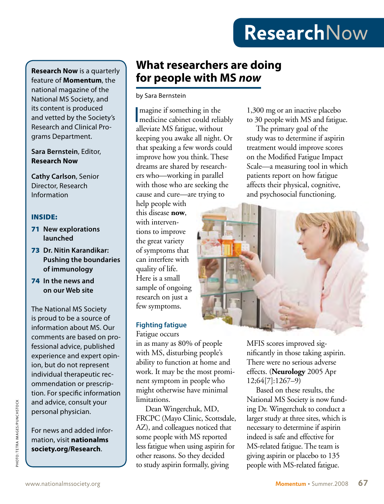# **Research**Now

**Research Now** is a quarterly feature of **Momentum**, the national magazine of the National MS Society, and its content is produced and vetted by the Society's Research and Clinical Programs Department.

### **Sara Bernstein**, Editor, **Research Now**

**Cathy Carlson**, Senior Director, Research Information

### INSIDE:

- 71 **New explorations launched**
- 73 **Dr. Nitin Karandikar: Pushing the boundaries of immunology**
- 74 **In the news and on our Web site**

The National MS Society is proud to be a source of information about MS. Our comments are based on professional advice, published experience and expert opinion, but do not represent individual therapeutic recommendation or prescription. For specific information and advice, consult your personal physician.

For news and added information, visit **nationalms society.org/Research**.

### **What researchers are doing for people with MS** *now*

### by Sara Bernstein

I medicine cabinet could reliably magine if something in the alleviate MS fatigue, without keeping you awake all night. Or that speaking a few words could improve how you think. These dreams are shared by researchers who—working in parallel with those who are seeking the cause and cure—are trying to

help people with this disease **now**, with interventions to improve the great variety of symptoms that can interfere with quality of life. Here is a small sample of ongoing research on just a few symptoms.

### **Fighting fatigue** Fatigue occurs

in as many as 80% of people with MS, disturbing people's ability to function at home and work. It may be the most prominent symptom in people who might otherwise have minimal limitations.

Dean Wingerchuk, MD, FRCPC (Mayo Clinic, Scottsdale, AZ), and colleagues noticed that some people with MS reported less fatigue when using aspirin for other reasons. So they decided to study aspirin formally, giving

1,300 mg or an inactive placebo to 30 people with MS and fatigue.

The primary goal of the study was to determine if aspirin treatment would improve scores on the Modified Fatigue Impact Scale—a measuring tool in which patients report on how fatigue affects their physical, cognitive, and psychosocial functioning.



MFIS scores improved significantly in those taking aspirin. There were no serious adverse effects. (**Neurology** 2005 Apr 12;64[7]:1267–9)

Based on these results, the National MS Society is now funding Dr. Wingerchuk to conduct a larger study at three sites, which is necessary to determine if aspirin indeed is safe and effective for MS-related fatigue. The team is giving aspirin or placebo to 135 and advice, consult your<br>
personal physician.<br>
FRCPC (Mayo Clinic, Scottsdale, larger study at three sites, which<br>
For news and added infor-<br>
and Wingerchuk, MD, ing Dr. Wingerchuk to conduct<br>
FRCPC (Mayo Clinic, Scottsda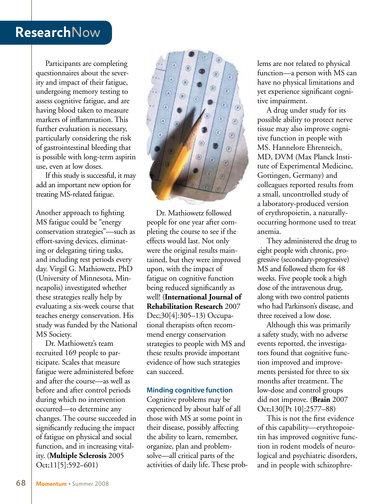### **Research**Now

Participants are completing questionnaires about the severity and impact of their fatigue, undergoing memory testing to assess cognitive fatigue, and are having blood taken to measure markers of inflammation. This further evaluation is necessary, particularly considering the risk of gastrointestinal bleeding that is possible with long-term aspirin use, even at low doses.

If this study is successful, it may add an important new option for treating MS-related fatigue.

Another approach to fighting MS fatigue could be "energy conservation strategies"—such as effort-saving devices, eliminating or delegating tiring tasks, and including rest periods every day. Virgil G. Mathiowetz, PhD (University of Minnesota, Minneapolis) investigated whether these strategies really help by evaluating a six-week course that teaches energy conservation. His study was funded by the National MS Society.

Dr. Mathiowetz's team recruited 169 people to participate. Scales that measure fatigue were administered before and after the course—as well as before and after control periods during which no intervention occurred—to determine any changes. The course succeeded in significantly reducing the impact of fatigue on physical and social function, and in increasing vitality. (**Multiple Sclerosis** 2005 Oct;11[5]:592–601)



Dr. Mathiowetz followed people for one year after completing the course to see if the effects would last. Not only were the original results maintained, but they were improved upon, with the impact of fatigue on cognitive function being reduced significantly as well! (**International Journal of Rehabilitation Research** 2007 Dec;30[4]:305–13) Occupational therapists often recommend energy conservation strategies to people with MS and these results provide important evidence of how such strategies can succeed.

#### **Minding cognitive function**

Cognitive problems may be experienced by about half of all those with MS at some point in their disease, possibly affecting the ability to learn, remember, organize, plan and problemsolve—all critical parts of the activities of daily life. These problems are not related to physical function—a person with MS can have no physical limitations and yet experience significant cognitive impairment.

A drug under study for its possible ability to protect nerve tissue may also improve cognitive function in people with MS. Hannelore Ehrenreich, MD, DVM (Max Planck Institute of Experimental Medicine, Gottingen, Germany) and colleagues reported results from a small, uncontrolled study of a laboratory-produced version of erythropoietin, a naturallyoccurring hormone used to treat anemia.

They administered the drug to eight people with chronic, progressive (secondary-progressive) MS and followed them for 48 weeks. Five people took a high dose of the intravenous drug, along with two control patients who had Parkinson's disease, and three received a low dose.

Although this was primarily a safety study, with no adverse events reported, the investigators found that cognitive function improved and improvements persisted for three to six months after treatment. The low-dose and control groups did not improve. (**Brain** 2007 Oct;130[Pt 10]:2577–88)

This is not the first evidence of this capability—erythropoietin has improved cognitive function in rodent models of neurological and psychiatric disorders, and in people with schizophre-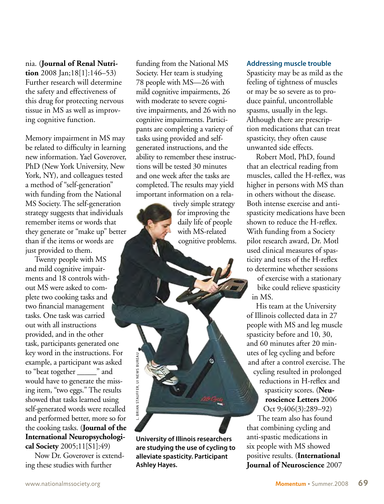nia. (**Journal of Renal Nutrition** 2008 Jan;18[1]:146–53) Further research will determine the safety and effectiveness of this drug for protecting nervous tissue in MS as well as improving cognitive function.

Memory impairment in MS may be related to difficulty in learning new information. Yael Goverover, PhD (New York University, New York, NY), and colleagues tested a method of "self-generation" with funding from the National MS Society. The self-generation strategy suggests that individuals remember items or words that they generate or "make up" better than if the items or words are just provided to them.

Twenty people with MS and mild cognitive impairments and 18 controls without MS were asked to complete two cooking tasks and two financial management tasks. One task was carried out with all instructions provided, and in the other task, participants generated one key word in the instructions. For example, a participant was asked to "beat together \_\_\_\_\_" and would have to generate the missing item, "two eggs." The results showed that tasks learned using self-generated words were recalled and performed better, more so for the cooking tasks. (**Journal of the International Neuropsychological Society** 2005;11[S1]:49)

Now Dr. Goverover is extending these studies with further

funding from the National MS Society. Her team is studying 78 people with MS—26 with mild cognitive impairments, 26 with moderate to severe cognitive impairments, and 26 with no cognitive impairments. Participants are completing a variety of tasks using provided and selfgenerated instructions, and the ability to remember these instructions will be tested 30 minutes and one week after the tasks are completed. The results may yield important information on a rela-

> tively simple strategy for improving the daily life of people with MS-related cognitive problems.

**University of Illinois researchers are studying the use of cycling to alleviate spasticity. Participant ASHLEY STAN STANDARY STANDARY STANDARY STANDARY STANDARY STATES AND HAVES.**<br> **Ashley Hayes.** 

#### **Addressing muscle trouble**

Spasticity may be as mild as the feeling of tightness of muscles or may be so severe as to produce painful, uncontrollable spasms, usually in the legs. Although there are prescription medications that can treat spasticity, they often cause unwanted side effects.

Robert Motl, PhD, found that an electrical reading from muscles, called the H-reflex, was higher in persons with MS than in others without the disease. Both intense exercise and antispasticity medications have been shown to reduce the H-reflex. With funding from a Society pilot research award, Dr. Motl used clinical measures of spasticity and tests of the H-reflex to determine whether sessions

of exercise with a stationary bike could relieve spasticity in MS.

His team at the University of Illinois collected data in 27 people with MS and leg muscle spasticity before and 10, 30, and 60 minutes after 20 minutes of leg cycling and before and after a control exercise. The cycling resulted in prolonged reductions in H-reflex and spasticity scores. (**Neuroscience Letters** 2006 Oct 9;406(3):289–92) The team also has found that combining cycling and anti-spastic medications in six people with MS showed positive results. (**International Journal of Neuroscience** 2007